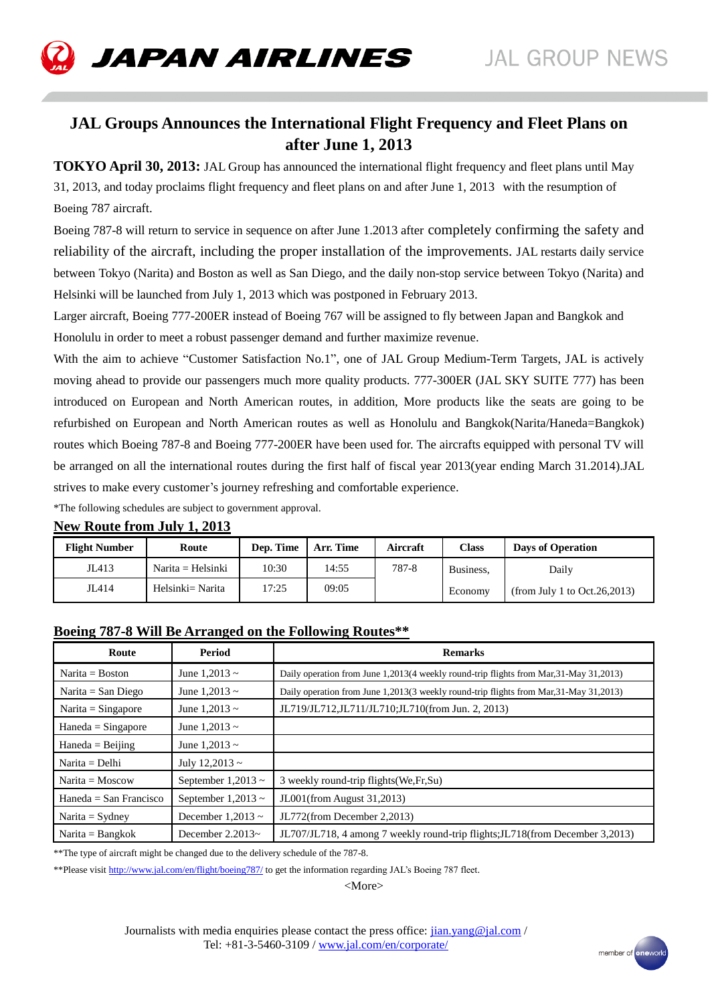

# **JAL Groups Announces the International Flight Frequency and Fleet Plans on after June 1, 2013**

**TOKYO April 30, 2013:** JAL Group has announced the international flight frequency and fleet plans until May 31, 2013, and today proclaims flight frequency and fleet plans on and after June 1, 2013 with the resumption of Boeing 787 aircraft.

Boeing 787-8 will return to service in sequence on after June 1.2013 after completely confirming the safety and reliability of the aircraft, including the proper installation of the improvements. JAL restarts daily service between Tokyo (Narita) and Boston as well as San Diego, and the daily non-stop service between Tokyo (Narita) and Helsinki will be launched from July 1, 2013 which was postponed in February 2013.

Larger aircraft, Boeing 777-200ER instead of Boeing 767 will be assigned to fly between Japan and Bangkok and Honolulu in order to meet a robust passenger demand and further maximize revenue.

With the aim to achieve "Customer Satisfaction No.1", one of JAL Group Medium-Term Targets, JAL is actively moving ahead to provide our passengers much more quality products. 777-300ER (JAL SKY SUITE 777) has been introduced on European and North American routes, in addition, More products like the seats are going to be refurbished on European and North American routes as well as Honolulu and Bangkok(Narita/Haneda=Bangkok) routes which Boeing 787-8 and Boeing 777-200ER have been used for. The aircrafts equipped with personal TV will be arranged on all the international routes during the first half of fiscal year 2013(year ending March 31.2014).JAL strives to make every customer's journey refreshing and comfortable experience.

\*The following schedules are subject to government approval.

| <b>Flight Number</b> | Route               | Dep. Time | Arr. Time | Aircraft | Class     | <b>Days of Operation</b>       |
|----------------------|---------------------|-----------|-----------|----------|-----------|--------------------------------|
| JL413                | $Narita = Helsinki$ | 10:30     | 14:55     | 787-8    | Business, | Daily                          |
| JL414                | Helsinki= Narita    | .7:25     | 09:05     |          | Economy   | (from July 1 to Oct. 26, 2013) |

#### **New Route from July 1, 2013**

### **Boeing 787-8 Will Be Arranged on the Following Routes\*\***

| Route                    | Period                  | <b>Remarks</b>                                                                          |
|--------------------------|-------------------------|-----------------------------------------------------------------------------------------|
| Narita = $B$ oston       | June 1,2013 $\sim$      | Daily operation from June 1,2013(4 weekly round-trip flights from Mar, 31-May 31, 2013) |
| Narita = San Diego       | June 1,2013 $\sim$      | Daily operation from June 1,2013(3 weekly round-trip flights from Mar, 31-May 31, 2013) |
| $Narita = Singapore$     | June $1,2013 \sim$      | JL719/JL712,JL711/JL710;JL710(from Jun. 2, 2013)                                        |
| $Haneda = Singapore$     | June $1.2013 \sim$      |                                                                                         |
| $Haned = Beijing$        | June $1.2013 \sim$      |                                                                                         |
| $Narita = Delhi$         | July 12,2013 $\sim$     |                                                                                         |
| $Narita = Moscow$        | September $1,2013 \sim$ | 3 weekly round-trip flights (We, Fr, Su)                                                |
| $Haneda = San Francisco$ | September $1,2013 \sim$ | JL001(from August 31,2013)                                                              |
| Narita = $S$ ydney       | December 1,2013 $\sim$  | JL772(from December 2,2013)                                                             |
| $Narita = Bangkok$       | December $2.2013-$      | JL707/JL718, 4 among 7 weekly round-trip flights; JL718(from December 3,2013)           |

\*\*The type of aircraft might be changed due to the delivery schedule of the 787-8.

\*\*Please visi[t http://www.jal.com/en/flight/boeing787/](https://sinprd0210.outlook.com/owa/redir.aspx?C=nev8GRAEx0mEP1SnsWFgcwL9hit0FtAIMiK56IbV99tG33yIltBnBnEUzpWWHyh-WPV4gweUrPQ.&URL=http%3a%2f%2fwww.jal.com%2fen%2fflight%2fboeing787%2f) to get the information regarding JAL's Boeing 787 fleet.

 $<$ More $>$ 

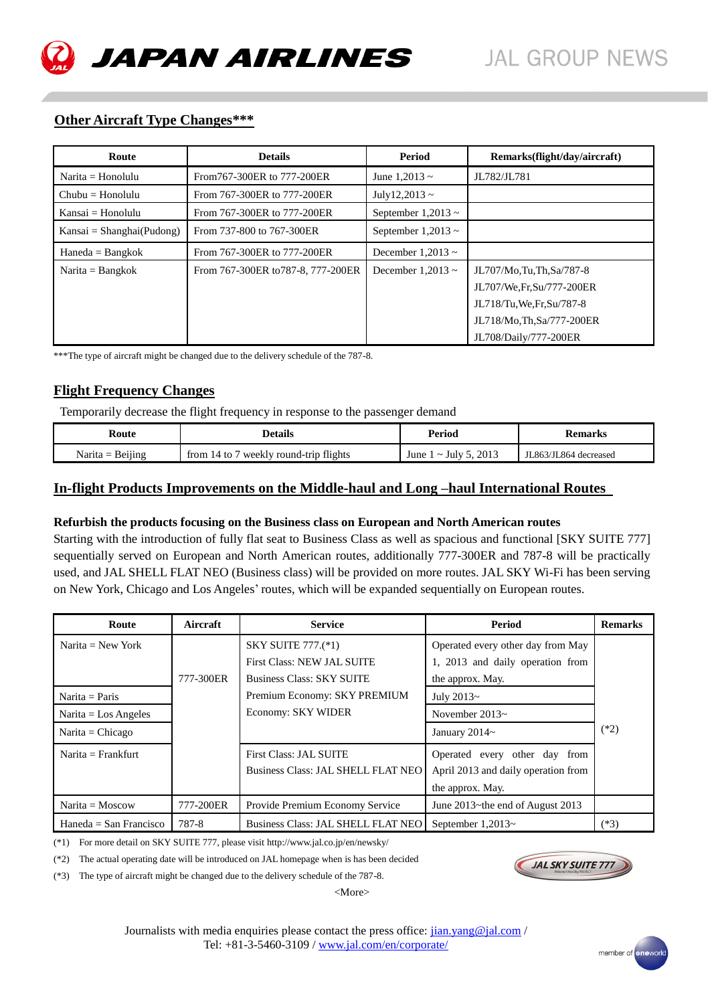# **Other Aircraft Type Changes\*\*\***

| Route                     | <b>Details</b>                     | Period                  | Remarks(flight/day/aircraft) |
|---------------------------|------------------------------------|-------------------------|------------------------------|
| $Narita = Honolulu$       | From 767-300ER to 777-200ER        | June 1.2013 $\sim$      | JL782/JL781                  |
| $Chubu = Honolulu$        | From 767-300ER to 777-200ER        | July12,2013 ~           |                              |
| $Kansai = Honolulu$       | From 767-300ER to 777-200ER        | September 1,2013 $\sim$ |                              |
| Kansai = Shanghai(Pudong) | From 737-800 to 767-300ER          | September $1,2013 \sim$ |                              |
| $Haneda = Bangkok$        | From 767-300ER to 777-200ER        | December 1,2013 $\sim$  |                              |
| $Narita = Bangkok$        | From 767-300ER to 787-8, 777-200ER | December 1,2013 $\sim$  | JL707/Mo,Tu,Th,Sa/787-8      |
|                           |                                    |                         | JL707/We, Fr, Su/777-200ER   |
|                           |                                    |                         | JL718/Tu, We, Fr, Su/787-8   |
|                           |                                    |                         | JL718/Mo, Th, Sa/777-200ER   |
|                           |                                    |                         | JL708/Daily/777-200ER        |

\*\*\*The type of aircraft might be changed due to the delivery schedule of the 787-8.

# **Flight Frequency Changes**

Temporarily decrease the flight frequency in response to the passenger demand

| Route              | Details                                       | Period                       | <b>Remarks</b>        |
|--------------------|-----------------------------------------------|------------------------------|-----------------------|
| Narita $=$ Beijing | weekly round-trip flights<br>from $14$ to $7$ | $\sim$ July 5, 2013<br>June, | JL863/JL864 decreased |

# **In-flight Products Improvements on the Middle-haul and Long –haul International Routes**

#### **Refurbish the products focusing on the Business class on European and North American routes**

Starting with the introduction of fully flat seat to Business Class as well as spacious and functional [SKY SUITE 777] sequentially served on European and North American routes, additionally 777-300ER and 787-8 will be practically used, and JAL SHELL FLAT NEO (Business class) will be provided on more routes. JAL SKY Wi-Fi has been serving on New York, Chicago and Los Angeles' routes, which will be expanded sequentially on European routes.

| Route                         | Aircraft  | <b>Service</b>                     | Period                              | <b>Remarks</b> |
|-------------------------------|-----------|------------------------------------|-------------------------------------|----------------|
| Narita = $New York$           |           | <b>SKY SUITE 777.(*1)</b>          | Operated every other day from May   |                |
|                               |           | <b>First Class: NEW JAL SUITE</b>  | 1, 2013 and daily operation from    |                |
|                               | 777-300ER | <b>Business Class: SKY SUITE</b>   | the approx. May.                    |                |
| Narita = Paris                |           | Premium Economy: SKY PREMIUM       | July 2013~                          |                |
| Narita = $\text{Los Angeles}$ |           | Economy: SKY WIDER                 | November $2013-$                    |                |
| $Narita = Chicago$            |           |                                    | January 2014~                       | $(*2)$         |
| Narita $=$ Frankfurt          |           | <b>First Class: JAL SUITE</b>      | Operated every other day from       |                |
|                               |           | Business Class: JAL SHELL FLAT NEO | April 2013 and daily operation from |                |
|                               |           |                                    | the approx. May.                    |                |
| $Narita = Moscow$             | 777-200ER | Provide Premium Economy Service    | June 2013~the end of August 2013    |                |
| $Haneda = San Francisco$      | 787-8     | Business Class: JAL SHELL FLAT NEO | September $1,2013-$                 | $(*3)$         |

(\*1) For more detail on SKY SUITE 777, please visit http://www.jal.co.jp/en/newsky/

(\*2) The actual operating date will be introduced on JAL homepage when is has been decided

(\*3) The type of aircraft might be changed due to the delivery schedule of the 787-8.

Journalists with media enquiries please contact the press office:  $\frac{\text{lian.yang}\omega\text{jal.com}}{\text{lian.yang}\omega\text{jal.com}}$ Tel: +81-3-5460-3109 / www.jal.com/en/corporate/

<More>



**JAL SKY SUITE 77**